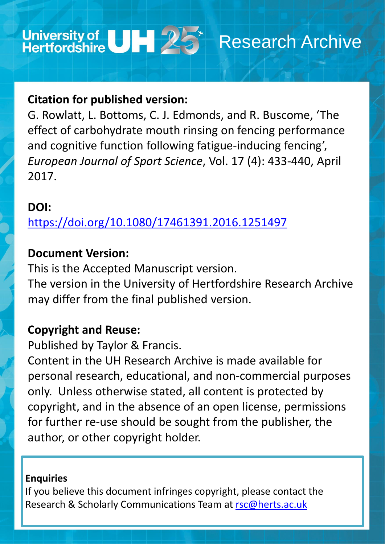

## **Citation for published version:**

G. Rowlatt, L. Bottoms, C. J. Edmonds, and R. Buscome, 'The effect of carbohydrate mouth rinsing on fencing performance and cognitive function following fatigue-inducing fencing', *European Journal of Sport Science*, Vol. 17 (4): 433-440, April 2017.

## **DOI:**

<https://doi.org/10.1080/17461391.2016.1251497>

## **Document Version:**

This is the Accepted Manuscript version. The version in the University of Hertfordshire Research Archive may differ from the final published version.

# **Copyright and Reuse:**

Published by Taylor & Francis.

Content in the UH Research Archive is made available for personal research, educational, and non-commercial purposes only. Unless otherwise stated, all content is protected by copyright, and in the absence of an open license, permissions for further re-use should be sought from the publisher, the author, or other copyright holder.

### **Enquiries**

## If you believe this document infringes copyright, please contact the Research & Scholarly Communications Team at [rsc@herts.ac.uk](mailto:rsc@herts.ac.uk)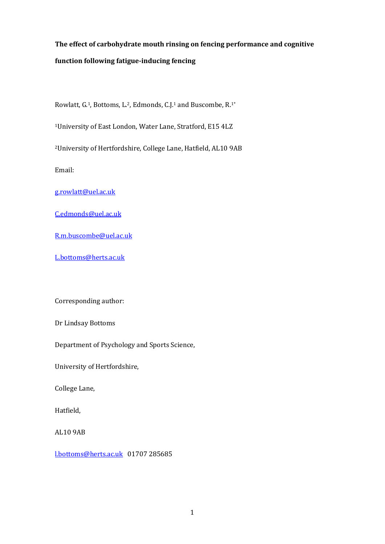### **The effect of carbohydrate mouth rinsing on fencing performance and cognitive function following fatigue-inducing fencing**

Rowlatt, G.1, Bottoms, L.2, Edmonds, C.J.<sup>1</sup> and Buscombe, R.1\*

<sup>1</sup>University of East London, Water Lane, Stratford, E15 4LZ

<sup>2</sup>University of Hertfordshire, College Lane, Hatfield, AL10 9AB

Email:

[g.rowlatt@uel.ac.uk](mailto:g.rowlatt@uel.ac.uk)

[C.edmonds@uel.ac.uk](mailto:C.edmonds@uel.ac.uk)

[R.m.buscombe@uel.ac.uk](mailto:R.m.buscombe@uel.ac.uk)

[L.bottoms@herts.ac.uk](mailto:L.bottoms@herts.ac.uk)

Corresponding author:

Dr Lindsay Bottoms

Department of Psychology and Sports Science,

University of Hertfordshire,

College Lane,

Hatfield,

AL10 9AB

[l.bottoms@herts.ac.uk](mailto:l.bottoms@herts.ac.uk) 01707 285685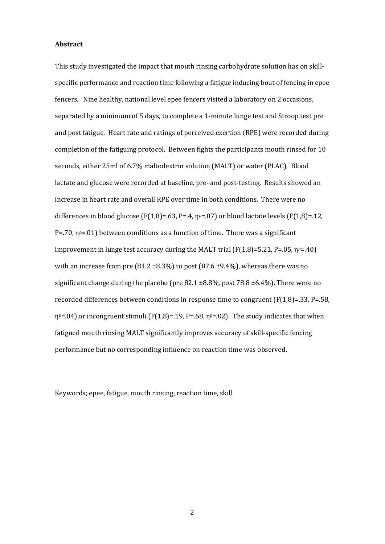#### **Abstract**

This study investigated the impact that mouth rinsing carbohydrate solution has on skillspecific performance and reaction time following a fatigue inducing bout of fencing in epee fencers. Nine healthy, national level epee fencers visited a laboratory on 2 occasions, separated by a minimum of 5 days, to complete a 1-minute lunge test and Stroop test pre and post fatigue. Heart rate and ratings of perceived exertion (RPE) were recorded during completion of the fatiguing protocol. Between fights the participants mouth rinsed for 10 seconds, either 25ml of 6.7% maltodextrin solution (MALT) or water (PLAC). Blood lactate and glucose were recorded at baseline, pre- and post-testing. Results showed an increase in heart rate and overall RPE over time in both conditions. There were no differences in blood glucose (F(1,8)=.63, P=.4, η*p=*.07) or blood lactate levels (F(1,8)=.12, P=.70, η*p*=.01) between conditions as a function of time. There was a significant improvement in lunge test accuracy during the MALT trial (F(1,8)=5.21, P=.05, η*p*=.40) with an increase from pre (81.2  $\pm$ 8.3%) to post (87.6  $\pm$ 9.4%), whereas there was no significant change during the placebo (pre  $82.1 \pm 8.8$ %, post  $78.8 \pm 6.4$ %). There were no recorded differences between conditions in response time to congruent  $(F(1,8)=.33, P=.58,$ η*p=.*04) or incongruent stimuli (F(1,8)=.19, P=.68, η*p=*.02). The study indicates that when fatigued mouth rinsing MALT significantly improves accuracy of skill-specific fencing performance but no corresponding influence on reaction time was observed.

Keywords; epee, fatigue, mouth rinsing, reaction time, skill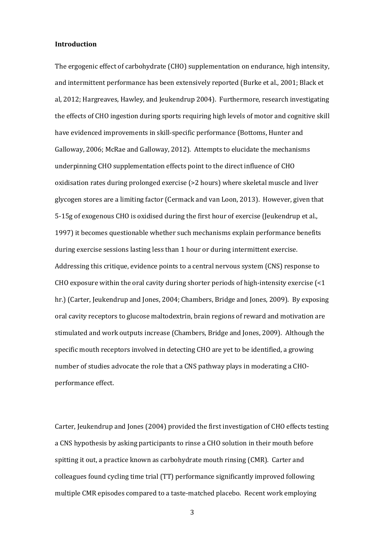#### **Introduction**

The ergogenic effect of carbohydrate (CHO) supplementation on endurance, high intensity, and intermittent performance has been extensively reported (Burke et al., 2001; Black et al, 2012; Hargreaves, Hawley, and Jeukendrup 2004). Furthermore, research investigating the effects of CHO ingestion during sports requiring high levels of motor and cognitive skill have evidenced improvements in skill-specific performance (Bottoms, Hunter and Galloway, 2006; McRae and Galloway, 2012). Attempts to elucidate the mechanisms underpinning CHO supplementation effects point to the direct influence of CHO oxidisation rates during prolonged exercise (>2 hours) where skeletal muscle and liver glycogen stores are a limiting factor (Cermack and van Loon, 2013). However, given that 5-15g of exogenous CHO is oxidised during the first hour of exercise (Jeukendrup et al., 1997) it becomes questionable whether such mechanisms explain performance benefits during exercise sessions lasting less than 1 hour or during intermittent exercise. Addressing this critique, evidence points to a central nervous system (CNS) response to CHO exposure within the oral cavity during shorter periods of high-intensity exercise (<1 hr.) (Carter, Jeukendrup and Jones, 2004; Chambers, Bridge and Jones, 2009). By exposing oral cavity receptors to glucose maltodextrin, brain regions of reward and motivation are stimulated and work outputs increase (Chambers, Bridge and Jones, 2009). Although the specific mouth receptors involved in detecting CHO are yet to be identified, a growing number of studies advocate the role that a CNS pathway plays in moderating a CHOperformance effect.

Carter, Jeukendrup and Jones (2004) provided the first investigation of CHO effects testing a CNS hypothesis by asking participants to rinse a CHO solution in their mouth before spitting it out, a practice known as carbohydrate mouth rinsing (CMR). Carter and colleagues found cycling time trial (TT) performance significantly improved following multiple CMR episodes compared to a taste-matched placebo. Recent work employing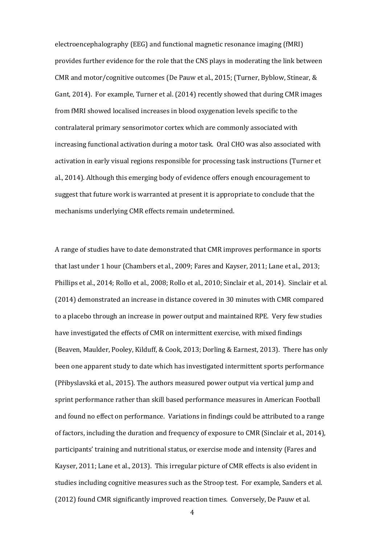electroencephalography (EEG) and functional magnetic resonance imaging (fMRI) provides further evidence for the role that the CNS plays in moderating the link between CMR and motor/cognitive outcomes (De Pauw et al., 2015; (Turner, Byblow, Stinear, & Gant, 2014). For example, Turner et al. (2014) recently showed that during CMR images from fMRI showed localised increases in blood oxygenation levels specific to the contralateral primary sensorimotor cortex which are commonly associated with increasing functional activation during a motor task. Oral CHO was also associated with activation in early visual regions responsible for processing task instructions (Turner et al., 2014). Although this emerging body of evidence offers enough encouragement to suggest that future work is warranted at present it is appropriate to conclude that the mechanisms underlying CMR effects remain undetermined.

A range of studies have to date demonstrated that CMR improves performance in sports that last under 1 hour (Chambers et al., 2009; Fares and Kayser, 2011; Lane et al., 2013; Phillips et al., 2014; Rollo et al., 2008; Rollo et al., 2010; Sinclair et al., 2014). Sinclair et al. (2014) demonstrated an increase in distance covered in 30 minutes with CMR compared to a placebo through an increase in power output and maintained RPE. Very few studies have investigated the effects of CMR on intermittent exercise, with mixed findings (Beaven, Maulder, Pooley, Kilduff, & Cook, 2013; Dorling & Earnest, 2013). There has only been one apparent study to date which has investigated intermittent sports performance (Přibyslavská et al., 2015). The authors measured power output via vertical jump and sprint performance rather than skill based performance measures in American Football and found no effect on performance. Variations in findings could be attributed to a range of factors, including the duration and frequency of exposure to CMR (Sinclair et al., 2014), participants' training and nutritional status, or exercise mode and intensity (Fares and Kayser, 2011; Lane et al., 2013). This irregular picture of CMR effects is also evident in studies including cognitive measures such as the Stroop test. For example, Sanders et al. (2012) found CMR significantly improved reaction times. Conversely, De Pauw et al.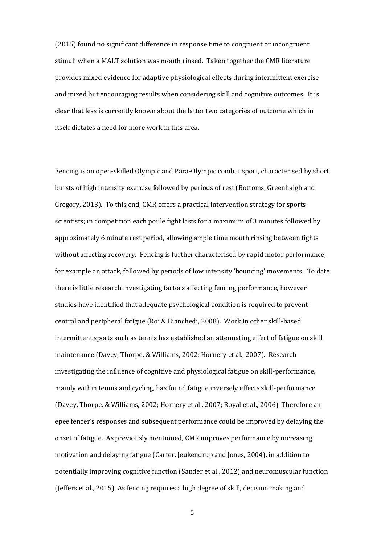(2015) found no significant difference in response time to congruent or incongruent stimuli when a MALT solution was mouth rinsed. Taken together the CMR literature provides mixed evidence for adaptive physiological effects during intermittent exercise and mixed but encouraging results when considering skill and cognitive outcomes. It is clear that less is currently known about the latter two categories of outcome which in itself dictates a need for more work in this area.

Fencing is an open-skilled Olympic and Para-Olympic combat sport, characterised by short bursts of high intensity exercise followed by periods of rest (Bottoms, Greenhalgh and Gregory, 2013). To this end, CMR offers a practical intervention strategy for sports scientists; in competition each poule fight lasts for a maximum of 3 minutes followed by approximately 6 minute rest period, allowing ample time mouth rinsing between fights without affecting recovery. Fencing is further characterised by rapid motor performance, for example an attack, followed by periods of low intensity 'bouncing' movements. To date there is little research investigating factors affecting fencing performance, however studies have identified that adequate psychological condition is required to prevent central and peripheral fatigue (Roi & Bianchedi, 2008). Work in other skill-based intermittent sports such as tennis has established an attenuating effect of fatigue on skill maintenance (Davey, Thorpe, & Williams, 2002; Hornery et al., 2007). Research investigating the influence of cognitive and physiological fatigue on skill-performance, mainly within tennis and cycling, has found fatigue inversely effects skill-performance (Davey, Thorpe, & Williams, 2002; Hornery et al., 2007; Royal et al., 2006). Therefore an epee fencer's responses and subsequent performance could be improved by delaying the onset of fatigue. As previously mentioned, CMR improves performance by increasing motivation and delaying fatigue (Carter, Jeukendrup and Jones, 2004), in addition to potentially improving cognitive function (Sander et al., 2012) and neuromuscular function (Jeffers et al., 2015). As fencing requires a high degree of skill, decision making and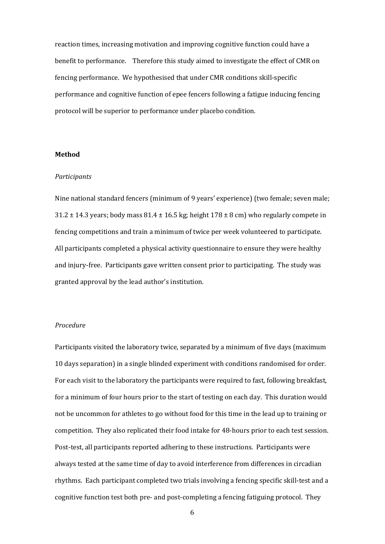reaction times, increasing motivation and improving cognitive function could have a benefit to performance. Therefore this study aimed to investigate the effect of CMR on fencing performance. We hypothesised that under CMR conditions skill-specific performance and cognitive function of epee fencers following a fatigue inducing fencing protocol will be superior to performance under placebo condition.

#### **Method**

#### *Participants*

Nine national standard fencers (minimum of 9 years' experience) (two female; seven male;  $31.2 \pm 14.3$  years; body mass  $81.4 \pm 16.5$  kg; height  $178 \pm 8$  cm) who regularly compete in fencing competitions and train a minimum of twice per week volunteered to participate. All participants completed a physical activity questionnaire to ensure they were healthy and injury-free. Participants gave written consent prior to participating. The study was granted approval by the lead author's institution.

#### *Procedure*

Participants visited the laboratory twice, separated by a minimum of five days (maximum 10 days separation) in a single blinded experiment with conditions randomised for order. For each visit to the laboratory the participants were required to fast, following breakfast, for a minimum of four hours prior to the start of testing on each day. This duration would not be uncommon for athletes to go without food for this time in the lead up to training or competition. They also replicated their food intake for 48-hours prior to each test session. Post-test, all participants reported adhering to these instructions. Participants were always tested at the same time of day to avoid interference from differences in circadian rhythms. Each participant completed two trials involving a fencing specific skill-test and a cognitive function test both pre- and post-completing a fencing fatiguing protocol. They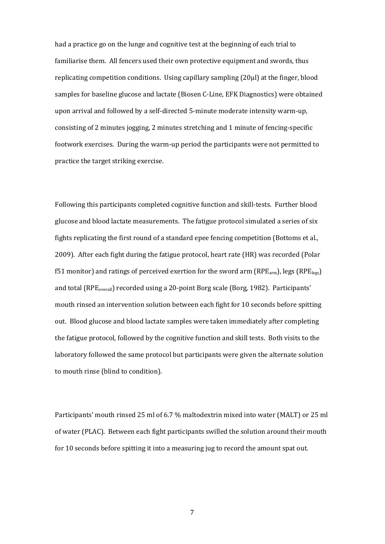had a practice go on the lunge and cognitive test at the beginning of each trial to familiarise them. All fencers used their own protective equipment and swords, thus replicating competition conditions. Using capillary sampling (20µl) at the finger, blood samples for baseline glucose and lactate (Biosen C-Line, EFK Diagnostics) were obtained upon arrival and followed by a self-directed 5-minute moderate intensity warm-up, consisting of 2 minutes jogging, 2 minutes stretching and 1 minute of fencing-specific footwork exercises. During the warm-up period the participants were not permitted to practice the target striking exercise.

Following this participants completed cognitive function and skill-tests. Further blood glucose and blood lactate measurements. The fatigue protocol simulated a series of six fights replicating the first round of a standard epee fencing competition (Bottoms et al., 2009). After each fight during the fatigue protocol, heart rate (HR) was recorded (Polar f51 monitor) and ratings of perceived exertion for the sword arm ( $RPE_{arm}$ ), legs ( $RPE_{legs}$ ) and total (RPE<sub>overall</sub>) recorded using a 20-point Borg scale (Borg, 1982). Participants' mouth rinsed an intervention solution between each fight for 10 seconds before spitting out. Blood glucose and blood lactate samples were taken immediately after completing the fatigue protocol, followed by the cognitive function and skill tests. Both visits to the laboratory followed the same protocol but participants were given the alternate solution to mouth rinse (blind to condition).

Participants' mouth rinsed 25 ml of 6.7 % maltodextrin mixed into water (MALT) or 25 ml of water (PLAC). Between each fight participants swilled the solution around their mouth for 10 seconds before spitting it into a measuring jug to record the amount spat out.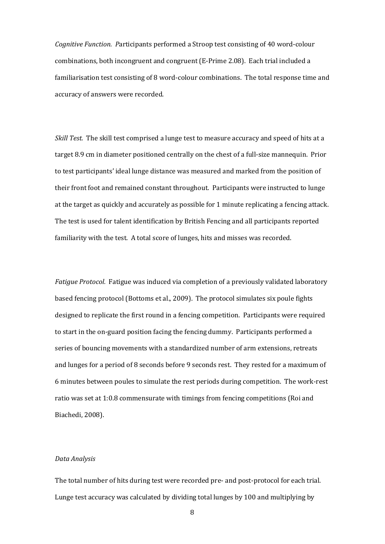*Cognitive Function. P*articipants performed a Stroop test consisting of 40 word-colour combinations, both incongruent and congruent (E-Prime 2.08). Each trial included a familiarisation test consisting of 8 word-colour combinations. The total response time and accuracy of answers were recorded.

*Skill Test.* The skill test comprised a lunge test to measure accuracy and speed of hits at a target 8.9 cm in diameter positioned centrally on the chest of a full-size mannequin. Prior to test participants' ideal lunge distance was measured and marked from the position of their front foot and remained constant throughout. Participants were instructed to lunge at the target as quickly and accurately as possible for 1 minute replicating a fencing attack. The test is used for talent identification by British Fencing and all participants reported familiarity with the test. A total score of lunges, hits and misses was recorded.

*Fatigue Protocol.* Fatigue was induced via completion of a previously validated laboratory based fencing protocol (Bottoms et al., 2009). The protocol simulates six poule fights designed to replicate the first round in a fencing competition. Participants were required to start in the on-guard position facing the fencing dummy. Participants performed a series of bouncing movements with a standardized number of arm extensions, retreats and lunges for a period of 8 seconds before 9 seconds rest. They rested for a maximum of 6 minutes between poules to simulate the rest periods during competition. The work-rest ratio was set at 1:0.8 commensurate with timings from fencing competitions (Roi and Biachedi, 2008).

#### *Data Analysis*

The total number of hits during test were recorded pre- and post-protocol for each trial. Lunge test accuracy was calculated by dividing total lunges by 100 and multiplying by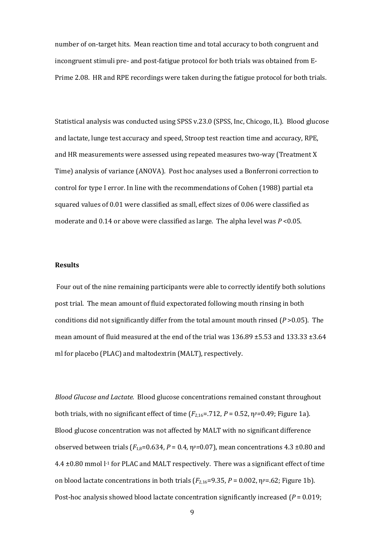number of on-target hits. Mean reaction time and total accuracy to both congruent and incongruent stimuli pre- and post-fatigue protocol for both trials was obtained from E-Prime 2.08. HR and RPE recordings were taken during the fatigue protocol for both trials.

Statistical analysis was conducted using SPSS v.23.0 (SPSS, Inc, Chicogo, IL). Blood glucose and lactate, lunge test accuracy and speed, Stroop test reaction time and accuracy, RPE, and HR measurements were assessed using repeated measures two-way (Treatment X Time) analysis of variance (ANOVA). Post hoc analyses used a Bonferroni correction to control for type I error. In line with the recommendations of Cohen (1988) partial eta squared values of 0.01 were classified as small, effect sizes of 0.06 were classified as moderate and 0.14 or above were classified as large. The alpha level was *P* <0.05.

#### **Results**

Four out of the nine remaining participants were able to correctly identify both solutions post trial. The mean amount of fluid expectorated following mouth rinsing in both conditions did not significantly differ from the total amount mouth rinsed (*P* >0.05). The mean amount of fluid measured at the end of the trial was  $136.89 \pm 5.53$  and  $133.33 \pm 3.64$ ml for placebo (PLAC) and maltodextrin (MALT), respectively.

*Blood Glucose and Lactate.* Blood glucose concentrations remained constant throughout both trials, with no significant effect of time  $(F_{2.16} = .712, P = 0.52, \eta^{p} = 0.49;$  Figure 1a). Blood glucose concentration was not affected by MALT with no significant difference observed between trials ( $F_{1,8}=0.634$ ,  $P=0.4$ ,  $\eta^p=0.07$ ), mean concentrations 4.3 ±0.80 and  $4.4 \pm 0.80$  mmol  $l<sup>-1</sup>$  for PLAC and MALT respectively. There was a significant effect of time on blood lactate concentrations in both trials  $(F_{2,16}=9.35, P=0.002, \eta^{p}=.62;$  Figure 1b). Post-hoc analysis showed blood lactate concentration significantly increased (*P* = 0.019;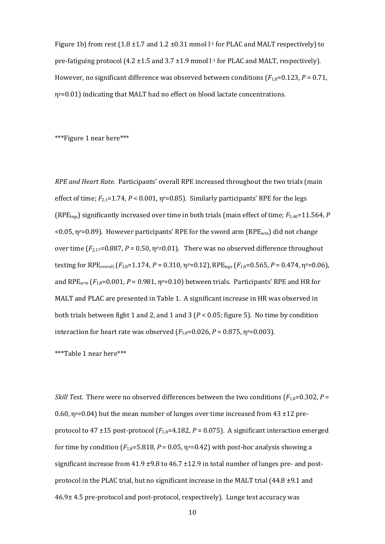Figure 1b) from rest  $(1.8 \pm 1.7 \text{ and } 1.2 \pm 0.31 \text{ mmol l}^{-1})$  for PLAC and MALT respectively to pre-fatiguing protocol (4.2  $\pm$ 1.5 and 3.7  $\pm$ 1.9 mmol l<sup>-1</sup> for PLAC and MALT, respectively). However, no significant difference was observed between conditions  $(F_{1,8}=0.123, P=0.71, P=0.71, P=0.71, P=0.71, P=0.71, P=0.71, P=0.71, P=0.71, P=0.71, P=0.71, P=0.71, P=0.71, P=0.71, P=0.71, P=0.71, P=0.71, P=0.71, P=0.71, P=0.71, P=0.71, P$ η*p*=0.01) indicating that MALT had no effect on blood lactate concentrations.

\*\*\*Figure 1 near here\*\*\*

*RPE and Heart Rate.* Participants' overall RPE increased throughout the two trials (main effect of time;  $F_{2,1}=1.74$ ,  $P < 0.001$ ,  $\eta^p=0.85$ ). Similarly participants' RPE for the legs (RPElegs) significantly increased over time in both trials (main effect of time; *F*5,40=11.564, *P*  $<$ 0.05,  $\eta$ <sup>*p*</sup>=0.89). However participants' RPE for the sword arm (RPE<sub>arm</sub>) did not change over time  $(F_{2,17}=0.887, P=0.50, \eta^{p}=0.01)$ . There was no observed difference throughout testing for RPE<sub>overall</sub> ( $F_{1,8}=1.174$ ,  $P=0.310$ ,  $\eta P=0.12$ ), RPE<sub>legs</sub> ( $F_{1,8}=0.565$ ,  $P=0.474$ ,  $\eta P=0.06$ ), and RPE<sub>arm</sub>  $(F_{1,8}=0.001, P=0.981, \eta_P=0.10)$  between trials. Participants' RPE and HR for MALT and PLAC are presented in Table 1. A significant increase in HR was observed in both trials between fight 1 and 2, and 1 and 3 (*P* < 0.05; figure 5). No time by condition interaction for heart rate was observed  $(F_{1,8}=0.026, P=0.875, \eta^{p}=0.003)$ .

\*\*\*Table 1 near here\*\*\*

*Skill Test.* There were no observed differences between the two conditions  $(F_{1,8}=0.302, P=$ 0.60, η*p=*0.04) but the mean number of lunges over time increased from 43 ±12 preprotocol to 47  $\pm$ 15 post-protocol ( $F_{1,8}$ =4.182,  $P$  = 0.075). A significant interaction emerged for time by condition  $(F_{1,8}=5.818, P=0.05, \eta^{p}=0.42)$  with post-hoc analysis showing a significant increase from  $41.9 \pm 9.8$  to  $46.7 \pm 12.9$  in total number of lunges pre- and postprotocol in the PLAC trial, but no significant increase in the MALT trial (44.8 ±9.1 and 46.9± 4.5 pre-protocol and post-protocol, respectively). Lunge test accuracy was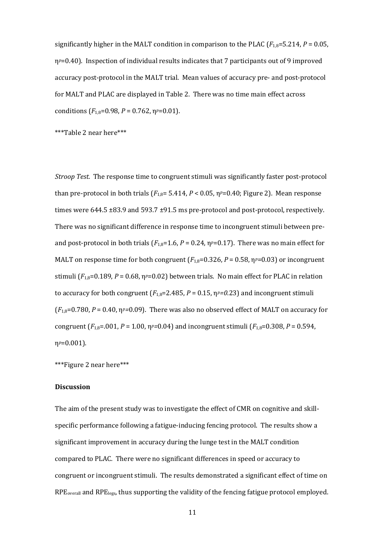significantly higher in the MALT condition in comparison to the PLAC ( $F_{1,8}=5.214$ ,  $P=0.05$ , η*p*=0.40). Inspection of individual results indicates that 7 participants out of 9 improved accuracy post-protocol in the MALT trial. Mean values of accuracy pre- and post-protocol for MALT and PLAC are displayed in Table 2. There was no time main effect across conditions  $(F_{1,8}=0.98, P=0.762, \eta_p=0.01)$ .

\*\*\*Table 2 near here\*\*\*

*Stroop Test.* The response time to congruent stimuli was significantly faster post-protocol than pre-protocol in both trials  $(F_{1,8}= 5.414, P < 0.05, \eta^{p}=0.40;$  Figure 2). Mean response times were  $644.5 \pm 83.9$  and  $593.7 \pm 91.5$  ms pre-protocol and post-protocol, respectively. There was no significant difference in response time to incongruent stimuli between preand post-protocol in both trials  $(F_{1,8}=1.6, P=0.24, \eta^{p}=0.17)$ . There was no main effect for MALT on response time for both congruent  $(F_{1,8}=0.326, P=0.58, \eta^{p}=0.03)$  or incongruent stimuli  $(F_{1,8}=0.189, P=0.68, \eta_P=0.02)$  between trials. No main effect for PLAC in relation to accuracy for both congruent  $(F_{1,8}=2.485, P=0.15, \eta^p=0.23)$  and incongruent stimuli  $(F<sub>1,8</sub>=0.780, P = 0.40, \eta<sup>p</sup>=0.09)$ . There was also no observed effect of MALT on accuracy for congruent  $(F_{1,8}=0.001, P=1.00, \eta^{p}=0.04)$  and incongruent stimuli  $(F_{1,8}=0.308, P=0.594, P=0.04)$ η*p*=0.001).

\*\*\*Figure 2 near here\*\*\*

#### **Discussion**

The aim of the present study was to investigate the effect of CMR on cognitive and skillspecific performance following a fatigue-inducing fencing protocol. The results show a significant improvement in accuracy during the lunge test in the MALT condition compared to PLAC. There were no significant differences in speed or accuracy to congruent or incongruent stimuli. The results demonstrated a significant effect of time on RPE<sub>overall</sub> and RPE<sub>legs</sub>, thus supporting the validity of the fencing fatigue protocol employed.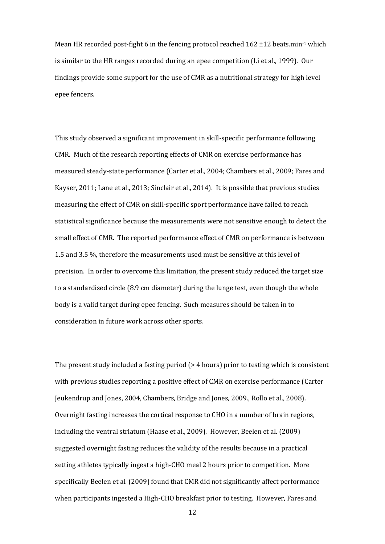Mean HR recorded post-fight 6 in the fencing protocol reached  $162 \pm 12$  beats.min<sup>-1</sup> which is similar to the HR ranges recorded during an epee competition (Li et al., 1999). Our findings provide some support for the use of CMR as a nutritional strategy for high level epee fencers.

This study observed a significant improvement in skill-specific performance following CMR. Much of the research reporting effects of CMR on exercise performance has measured steady-state performance (Carter et al., 2004; Chambers et al., 2009; Fares and Kayser, 2011; Lane et al., 2013; Sinclair et al., 2014). It is possible that previous studies measuring the effect of CMR on skill-specific sport performance have failed to reach statistical significance because the measurements were not sensitive enough to detect the small effect of CMR. The reported performance effect of CMR on performance is between 1.5 and 3.5 %, therefore the measurements used must be sensitive at this level of precision. In order to overcome this limitation, the present study reduced the target size to a standardised circle (8.9 cm diameter) during the lunge test, even though the whole body is a valid target during epee fencing. Such measures should be taken in to consideration in future work across other sports.

The present study included a fasting period (> 4 hours) prior to testing which is consistent with previous studies reporting a positive effect of CMR on exercise performance (Carter Jeukendrup and Jones, 2004, Chambers, Bridge and Jones, 2009., Rollo et al., 2008). Overnight fasting increases the cortical response to CHO in a number of brain regions, including the ventral striatum (Haase et al., 2009). However, Beelen et al. (2009) suggested overnight fasting reduces the validity of the results because in a practical setting athletes typically ingest a high-CHO meal 2 hours prior to competition. More specifically Beelen et al. (2009) found that CMR did not significantly affect performance when participants ingested a High-CHO breakfast prior to testing. However, Fares and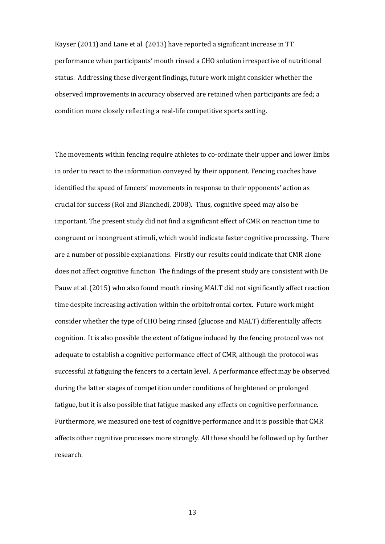Kayser (2011) and Lane et al. (2013) have reported a significant increase in TT performance when participants' mouth rinsed a CHO solution irrespective of nutritional status. Addressing these divergent findings, future work might consider whether the observed improvements in accuracy observed are retained when participants are fed; a condition more closely reflecting a real-life competitive sports setting.

The movements within fencing require athletes to co-ordinate their upper and lower limbs in order to react to the information conveyed by their opponent. Fencing coaches have identified the speed of fencers' movements in response to their opponents' action as crucial for success (Roi and Bianchedi, 2008). Thus, cognitive speed may also be important. The present study did not find a significant effect of CMR on reaction time to congruent or incongruent stimuli, which would indicate faster cognitive processing. There are a number of possible explanations. Firstly our results could indicate that CMR alone does not affect cognitive function. The findings of the present study are consistent with De Pauw et al. (2015) who also found mouth rinsing MALT did not significantly affect reaction time despite increasing activation within the orbitofrontal cortex. Future work might consider whether the type of CHO being rinsed (glucose and MALT) differentially affects cognition. It is also possible the extent of fatigue induced by the fencing protocol was not adequate to establish a cognitive performance effect of CMR, although the protocol was successful at fatiguing the fencers to a certain level. A performance effect may be observed during the latter stages of competition under conditions of heightened or prolonged fatigue, but it is also possible that fatigue masked any effects on cognitive performance. Furthermore, we measured one test of cognitive performance and it is possible that CMR affects other cognitive processes more strongly. All these should be followed up by further research.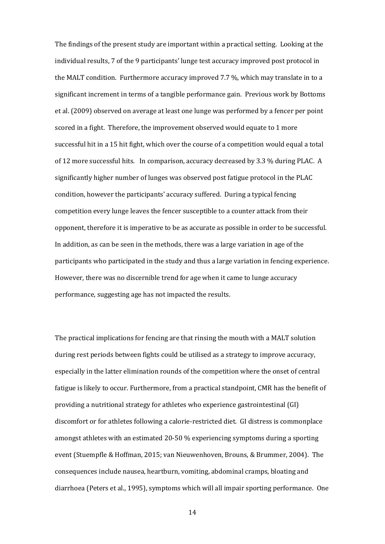The findings of the present study are important within a practical setting. Looking at the individual results, 7 of the 9 participants' lunge test accuracy improved post protocol in the MALT condition. Furthermore accuracy improved 7.7 %, which may translate in to a significant increment in terms of a tangible performance gain. Previous work by Bottoms et al. (2009) observed on average at least one lunge was performed by a fencer per point scored in a fight. Therefore, the improvement observed would equate to 1 more successful hit in a 15 hit fight, which over the course of a competition would equal a total of 12 more successful hits. In comparison, accuracy decreased by 3.3 % during PLAC. A significantly higher number of lunges was observed post fatigue protocol in the PLAC condition, however the participants' accuracy suffered. During a typical fencing competition every lunge leaves the fencer susceptible to a counter attack from their opponent, therefore it is imperative to be as accurate as possible in order to be successful. In addition, as can be seen in the methods, there was a large variation in age of the participants who participated in the study and thus a large variation in fencing experience. However, there was no discernible trend for age when it came to lunge accuracy performance, suggesting age has not impacted the results.

The practical implications for fencing are that rinsing the mouth with a MALT solution during rest periods between fights could be utilised as a strategy to improve accuracy, especially in the latter elimination rounds of the competition where the onset of central fatigue is likely to occur. Furthermore, from a practical standpoint, CMR has the benefit of providing a nutritional strategy for athletes who experience gastrointestinal (GI) discomfort or for athletes following a calorie-restricted diet. GI distress is commonplace amongst athletes with an estimated 20-50 % experiencing symptoms during a sporting event (Stuempfle & Hoffman, 2015; van Nieuwenhoven, Brouns, & Brummer, 2004). The consequences include nausea, heartburn, vomiting, abdominal cramps, bloating and diarrhoea (Peters et al., 1995), symptoms which will all impair sporting performance. One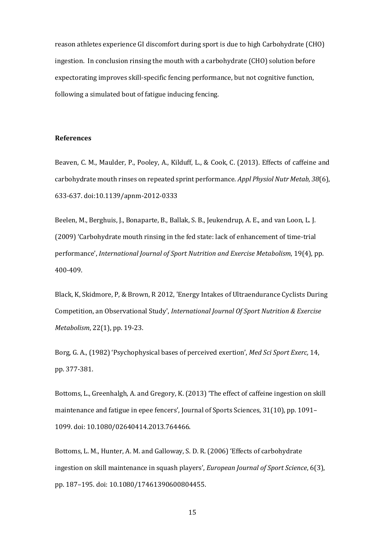reason athletes experience GI discomfort during sport is due to high Carbohydrate (CHO) ingestion. In conclusion rinsing the mouth with a carbohydrate (CHO) solution before expectorating improves skill-specific fencing performance, but not cognitive function, following a simulated bout of fatigue inducing fencing.

#### **References**

Beaven, C. M., Maulder, P., Pooley, A., Kilduff, L., & Cook, C. (2013). Effects of caffeine and carbohydrate mouth rinses on repeated sprint performance. *Appl Physiol Nutr Metab, 38*(6), 633-637. doi:10.1139/apnm-2012-0333

Beelen, M., Berghuis, J., Bonaparte, B., Ballak, S. B., Jeukendrup, A. E., and van Loon, L. J. (2009) 'Carbohydrate mouth rinsing in the fed state: lack of enhancement of time-trial performance', *International Journal of Sport Nutrition and Exercise Metabolism*, 19(4), pp. 400-409.

Black, K, Skidmore, P, & Brown, R 2012, 'Energy Intakes of Ultraendurance Cyclists During Competition, an Observational Study', *International Journal Of Sport Nutrition & Exercise Metabolism*, 22(1), pp. 19-23.

Borg, G. A., (1982) 'Psychophysical bases of perceived exertion', *Med Sci Sport Exerc,* 14, pp. 377-381.

Bottoms, L., Greenhalgh, A. and Gregory, K. (2013) 'The effect of caffeine ingestion on skill maintenance and fatigue in epee fencers', Journal of Sports Sciences, 31(10), pp. 1091– 1099. doi: 10.1080/02640414.2013.764466.

Bottoms, L. M., Hunter, A. M. and Galloway, S. D. R. (2006) 'Effects of carbohydrate ingestion on skill maintenance in squash players', *European Journal of Sport Science*, 6(3), pp. 187–195. doi: 10.1080/17461390600804455.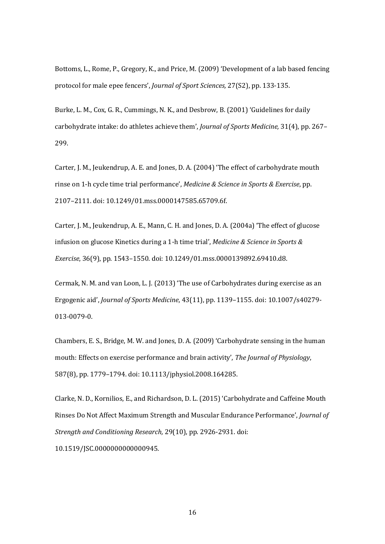Bottoms, L., Rome, P., Gregory, K., and Price, M. (2009) 'Development of a lab based fencing protocol for male epee fencers', *Journal of Sport Sciences,* 27(S2), pp. 133-135.

Burke, L. M., Cox, G. R., Cummings, N. K., and Desbrow, B. (2001) 'Guidelines for daily carbohydrate intake: do athletes achieve them', *Journal of Sports Medicine,* 31(4), pp. 267– 299.

Carter, J. M., Jeukendrup, A. E. and Jones, D. A. (2004) 'The effect of carbohydrate mouth rinse on 1-h cycle time trial performance', *Medicine & Science in Sports & Exercise*, pp. 2107–2111. doi: 10.1249/01.mss.0000147585.65709.6f.

Carter, J. M., Jeukendrup, A. E., Mann, C. H. and Jones, D. A. (2004a) 'The effect of glucose infusion on glucose Kinetics during a 1-h time trial', *Medicine & Science in Sports & Exercise*, 36(9), pp. 1543–1550. doi: 10.1249/01.mss.0000139892.69410.d8.

Cermak, N. M. and van Loon, L. J. (2013) 'The use of Carbohydrates during exercise as an Ergogenic aid', *Journal of Sports Medicine*, 43(11), pp. 1139–1155. doi: 10.1007/s40279- 013-0079-0.

Chambers, E. S., Bridge, M. W. and Jones, D. A. (2009) 'Carbohydrate sensing in the human mouth: Effects on exercise performance and brain activity', *The Journal of Physiology*, 587(8), pp. 1779–1794. doi: 10.1113/jphysiol.2008.164285.

Clarke, N. D., Kornilios, E., and Richardson, D. L. (2015) 'Carbohydrate and Caffeine Mouth Rinses Do Not Affect Maximum Strength and Muscular Endurance Performance', *Journal of Strength and Conditioning Research,* 29(10), pp. 2926-2931. doi: 10.1519/JSC.0000000000000945.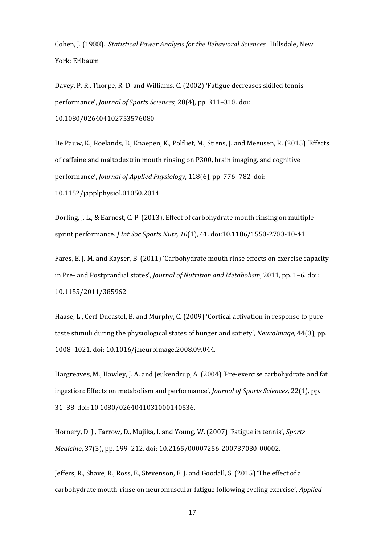Cohen, J. (1988). *Statistical Power Analysis for the Behavioral Sciences*. Hillsdale, New York: Erlbaum

Davey, P. R., Thorpe, R. D. and Williams, C. (2002) 'Fatigue decreases skilled tennis performance', *Journal of Sports Sciences*, 20(4), pp. 311–318. doi: 10.1080/026404102753576080.

De Pauw, K., Roelands, B., Knaepen, K., Polfliet, M., Stiens, J. and Meeusen, R. (2015) 'Effects of caffeine and maltodextrin mouth rinsing on P300, brain imaging, and cognitive performance', *Journal of Applied Physiology*, 118(6), pp. 776–782. doi: 10.1152/japplphysiol.01050.2014.

Dorling, J. L., & Earnest, C. P. (2013). Effect of carbohydrate mouth rinsing on multiple sprint performance. *J Int Soc Sports Nutr, 10*(1), 41. doi:10.1186/1550-2783-10-41

Fares, E. J. M. and Kayser, B. (2011) 'Carbohydrate mouth rinse effects on exercise capacity in Pre- and Postprandial states', *Journal of Nutrition and Metabolism*, 2011, pp. 1–6. doi: 10.1155/2011/385962.

Haase, L., Cerf-Ducastel, B. and Murphy, C. (2009) 'Cortical activation in response to pure taste stimuli during the physiological states of hunger and satiety', *NeuroImage*, 44(3), pp. 1008–1021. doi: 10.1016/j.neuroimage.2008.09.044.

Hargreaves, M., Hawley, J. A. and Jeukendrup, A. (2004) 'Pre-exercise carbohydrate and fat ingestion: Effects on metabolism and performance', *Journal of Sports Sciences*, 22(1), pp. 31–38. doi: 10.1080/0264041031000140536.

Hornery, D. J., Farrow, D., Mujika, I. and Young, W. (2007) 'Fatigue in tennis', *Sports Medicine*, 37(3), pp. 199–212. doi: 10.2165/00007256-200737030-00002.

Jeffers, R., Shave, R., Ross, E., Stevenson, E. J. and Goodall, S. (2015) 'The effect of a carbohydrate mouth-rinse on neuromuscular fatigue following cycling exercise', *Applied*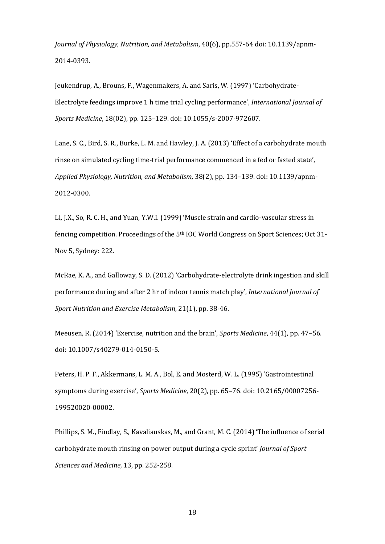*Journal of Physiology, Nutrition, and Metabolism*, 40(6), pp.557-64 doi: 10.1139/apnm-2014-0393.

Jeukendrup, A., Brouns, F., Wagenmakers, A. and Saris, W. (1997) 'Carbohydrate-Electrolyte feedings improve 1 h time trial cycling performance', *International Journal of Sports Medicine*, 18(02), pp. 125–129. doi: 10.1055/s-2007-972607.

Lane, S. C., Bird, S. R., Burke, L. M. and Hawley, J. A. (2013) 'Effect of a carbohydrate mouth rinse on simulated cycling time-trial performance commenced in a fed or fasted state', *Applied Physiology, Nutrition, and Metabolism*, 38(2), pp. 134–139. doi: 10.1139/apnm-2012-0300.

Li, J.X., So, R. C. H., and Yuan, Y.W.I. (1999) 'Muscle strain and cardio-vascular stress in fencing competition. Proceedings of the 5th IOC World Congress on Sport Sciences; Oct 31- Nov 5, Sydney: 222.

McRae, K. A., and Galloway, S. D. (2012) 'Carbohydrate-electrolyte drink ingestion and skill performance during and after 2 hr of indoor tennis match play', *International Journal of Sport Nutrition and Exercise Metabolism*, 21(1), pp. 38-46.

Meeusen, R. (2014) 'Exercise, nutrition and the brain', *Sports Medicine*, 44(1), pp. 47–56. doi: 10.1007/s40279-014-0150-5.

Peters, H. P. F., Akkermans, L. M. A., Bol, E. and Mosterd, W. L. (1995) 'Gastrointestinal symptoms during exercise', *Sports Medicine*, 20(2), pp. 65–76. doi: 10.2165/00007256- 199520020-00002.

Phillips, S. M., Findlay, S., Kavaliauskas, M., and Grant, M. C. (2014) 'The influence of serial carbohydrate mouth rinsing on power output during a cycle sprint' *Journal of Sport Sciences and Medicine,* 13, pp. 252-258.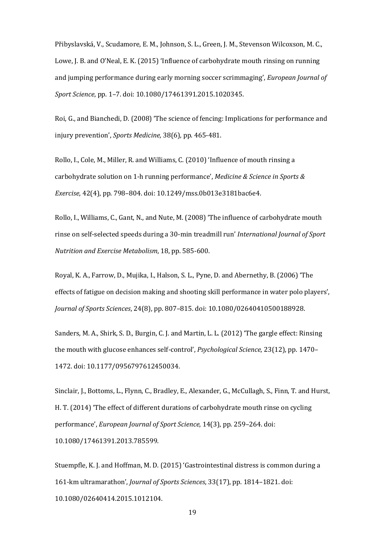Přibyslavská, V., Scudamore, E. M., Johnson, S. L., Green, J. M., Stevenson Wilcoxson, M. C., Lowe, J. B. and O'Neal, E. K. (2015) 'Influence of carbohydrate mouth rinsing on running and jumping performance during early morning soccer scrimmaging', *European Journal of Sport Science*, pp. 1–7. doi: 10.1080/17461391.2015.1020345.

Roi, G., and Bianchedi, D. (2008) 'The science of fencing: Implications for performance and injury prevention', *Sports Medicine,* 38(6), pp. 465-481.

Rollo, I., Cole, M., Miller, R. and Williams, C. (2010) 'Influence of mouth rinsing a carbohydrate solution on 1-h running performance', *Medicine & Science in Sports & Exercise*, 42(4), pp. 798–804. doi: 10.1249/mss.0b013e3181bac6e4.

Rollo, I., Williams, C., Gant, N., and Nute, M. (2008) 'The influence of carbohydrate mouth rinse on self-selected speeds during a 30-min treadmill run' *International Journal of Sport Nutrition and Exercise Metabolism*, 18, pp. 585-600.

Royal, K. A., Farrow, D., Mujika, I., Halson, S. L., Pyne, D. and Abernethy, B. (2006) 'The effects of fatigue on decision making and shooting skill performance in water polo players', *Journal of Sports Sciences*, 24(8), pp. 807–815. doi: 10.1080/02640410500188928.

Sanders, M. A., Shirk, S. D., Burgin, C. J. and Martin, L. L. (2012) 'The gargle effect: Rinsing the mouth with glucose enhances self-control', *Psychological Science*, 23(12), pp. 1470– 1472. doi: 10.1177/0956797612450034.

Sinclair, J., Bottoms, L., Flynn, C., Bradley, E., Alexander, G., McCullagh, S., Finn, T. and Hurst, H. T. (2014) 'The effect of different durations of carbohydrate mouth rinse on cycling performance', *European Journal of Sport Science*, 14(3), pp. 259–264. doi: 10.1080/17461391.2013.785599.

Stuempfle, K. J. and Hoffman, M. D. (2015) 'Gastrointestinal distress is common during a 161-km ultramarathon', *Journal of Sports Sciences*, 33(17), pp. 1814–1821. doi: 10.1080/02640414.2015.1012104.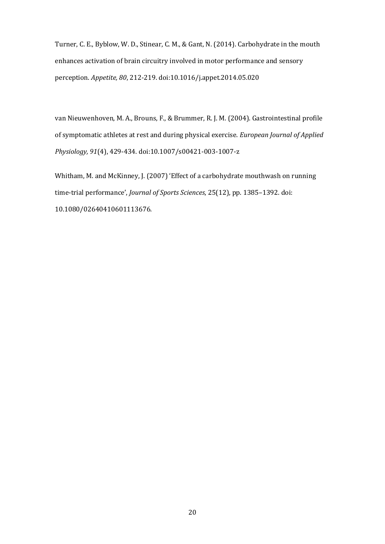Turner, C. E., Byblow, W. D., Stinear, C. M., & Gant, N. (2014). Carbohydrate in the mouth enhances activation of brain circuitry involved in motor performance and sensory perception. *Appetite, 80*, 212-219. doi:10.1016/j.appet.2014.05.020

van Nieuwenhoven, M. A., Brouns, F., & Brummer, R. J. M. (2004). Gastrointestinal profile of symptomatic athletes at rest and during physical exercise. *European Journal of Applied Physiology, 91*(4), 429-434. doi:10.1007/s00421-003-1007-z

Whitham, M. and McKinney, J. (2007) 'Effect of a carbohydrate mouthwash on running time-trial performance', *Journal of Sports Sciences*, 25(12), pp. 1385–1392. doi: 10.1080/02640410601113676.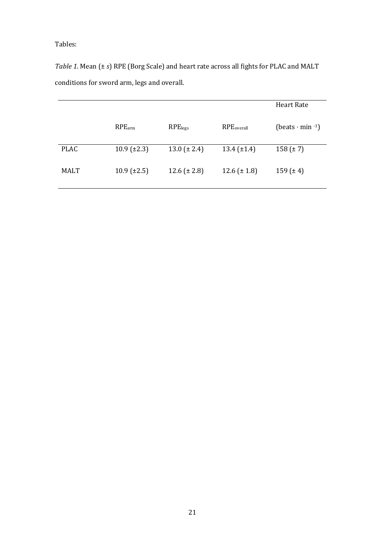Tables:

*Table 1*. Mean (± *s*) RPE (Borg Scale) and heart rate across all fights for PLAC and MALT conditions for sword arm, legs and overall.

|             |                    |                     |                        | <b>Heart Rate</b>         |
|-------------|--------------------|---------------------|------------------------|---------------------------|
|             | $RPE_{arm}$        | RPE <sub>legs</sub> | RPE <sub>overall</sub> | (beats $\cdot$ min $-1$ ) |
| <b>PLAC</b> | $10.9 \ (\pm 2.3)$ | $13.0 (\pm 2.4)$    | 13.4 $(\pm 1.4)$       | $158 (\pm 7)$             |
| <b>MALT</b> | $10.9 \ (\pm 2.5)$ | 12.6 $(\pm 2.8)$    | 12.6 $(\pm 1.8)$       | $159 (\pm 4)$             |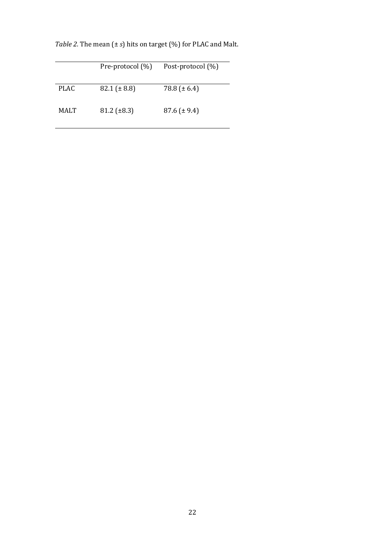|             | Pre-protocol (%)   | Post-protocol (%) |
|-------------|--------------------|-------------------|
| <b>PLAC</b> | $82.1 (\pm 8.8)$   | 78.8 ( $\pm$ 6.4) |
| MALT        | $81.2 \ (\pm 8.3)$ | $87.6 (\pm 9.4)$  |

*Table 2.* The mean (± *s*) hits on target (%) for PLAC and Malt.